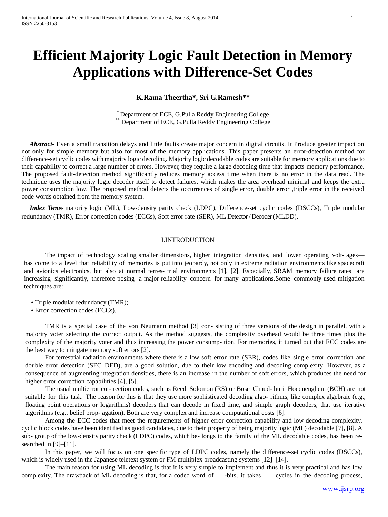# **Efficient Majority Logic Fault Detection in Memory Applications with Difference-Set Codes**

# **K.Rama Theertha\*, Sri G.Ramesh\*\***

\* Department of ECE, G.Pulla Reddy Engineering College Department of ECE, G.Pulla Reddy Engineering College

 *Abstract-* Even a small transition delays and little faults create major concern in digital circuits. It Produce greater impact on not only for simple memory but also for most of the memory applications. This paper presents an error-detection method for difference-set cyclic codes with majority logic decoding. Majority logic decodable codes are suitable for memory applications due to their capability to correct a large number of errors. However, they require a large decoding time that impacts memory performance. The proposed fault-detection method significantly reduces memory access time when there is no error in the data read. The technique uses the majority logic decoder itself to detect failures, which makes the area overhead minimal and keeps the extra power consumption low. The proposed method detects the occurrences of single error, double error ,triple error in the received code words obtained from the memory system.

 *Index Terms-* majority logic (ML), Low-density parity check (LDPC), Difference-set cyclic codes (DSCCs), Triple modular redundancy (TMR), Error correction codes (ECCs), Soft error rate (SER), ML Detector / Decoder(MLDD).

# I.INTRODUCTION

The impact of technology scaling smaller dimensions, higher integration densities, and lower operating volt- ages has come to a level that reliability of memories is put into jeopardy, not only in extreme radiation environments like spacecraft and avionics electronics, but also at normal terres- trial environments [1], [2]. Especially, SRAM memory failure rates are increasing significantly, therefore posing a major reliability concern for many applications.Some commonly used mitigation techniques are:

- Triple modular redundancy (TMR);
- Error correction codes (ECCs).

TMR is a special case of the von Neumann method [3] con- sisting of three versions of the design in parallel, with a majority voter selecting the correct output. As the method suggests, the complexity overhead would be three times plus the complexity of the majority voter and thus increasing the power consump- tion. For memories, it turned out that ECC codes are the best way to mitigate memory soft errors [2].

For terrestrial radiation environments where there is a low soft error rate (SER), codes like single error correction and double error detection (SEC–DED), are a good solution, due to their low encoding and decoding complexity. However, as a consequence of augmenting integration densities, there is an increase in the number of soft errors, which produces the need for higher error correction capabilities [4], [5].

The usual multierror cor- rection codes, such as Reed–Solomon (RS) or Bose–Chaud- huri–Hocquenghem (BCH) are not suitable for this task. The reason for this is that they use more sophisticated decoding algo- rithms, like complex algebraic (e.g., floating point operations or logarithms) decoders that can decode in fixed time, and simple graph decoders, that use iterative algorithms (e.g., belief prop- agation). Both are very complex and increase computational costs [6].

Among the ECC codes that meet the requirements of higher error correction capability and low decoding complexity, cyclic block codes have been identified as good candidates, due to their property of being majority logic (ML) decodable [7], [8]. A sub- group of the low-density parity check (LDPC) codes, which be- longs to the family of the ML decodable codes, has been researched in [9]–[11].

In this paper, we will focus on one specific type of LDPC codes, namely the difference-set cyclic codes (DSCCs), which is widely used in the Japanese teletext system or FM multiplex broadcasting systems [12]–[14].

The main reason for using ML decoding is that it is very simple to implement and thus it is very practical and has low complexity. The drawback of ML decoding is that, for a coded word of -bits, it takes cycles in the decoding process,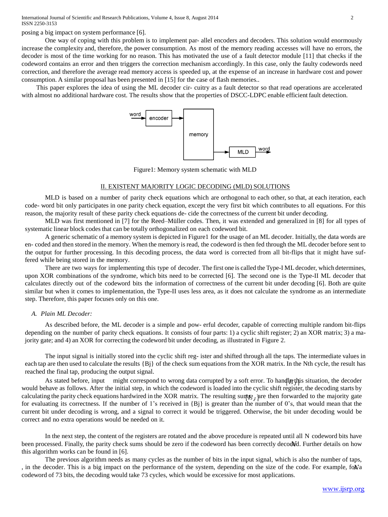posing a big impact on system performance [6].

One way of coping with this problem is to implement par- allel encoders and decoders. This solution would enormously increase the complexity and, therefore, the power consumption. As most of the memory reading accesses will have no errors, the decoder is most of the time working for no reason. This has motivated the use of a fault detector module [11] that checks if the codeword contains an error and then triggers the correction mechanism accordingly. In this case, only the faulty codewords need correction, and therefore the average read memory access is speeded up, at the expense of an increase in hardware cost and power consumption. A similar proposal has been presented in [15] for the case of flash memories..

This paper explores the idea of using the ML decoder cir- cuitry as a fault detector so that read operations are accelerated with almost no additional hardware cost. The results show that the properties of DSCC-LDPC enable efficient fault detection.



Figure1: Memory system schematic with MLD

## II. EXISTENT MAJORITY LOGIC DECODING (MLD) SOLUTIONS

MLD is based on a number of parity check equations which are orthogonal to each other, so that, at each iteration, each code- word bit only participates in one parity check equation, except the very first bit which contributes to all equations. For this reason, the majority result of these parity check equations de- cide the correctness of the current bit under decoding.

MLD was first mentioned in [7] for the Reed–Müller codes. Then, it was extended and generalized in [8] for all types of systematic linear block codes that can be totally orthogonalized on each codeword bit.

A generic schematic of a memory system is depicted in Figure1 for the usage of an ML decoder. Initially, the data words are en- coded and then stored in the memory. When the memory isread, the codeword is then fed through the ML decoder before sent to the output for further processing. In this decoding process, the data word is corrected from all bit-flips that it might have suffered while being stored in the memory.

There are two ways for implementing this type of decoder. The first one is called the Type-I ML decoder, which determines, upon XOR combinations of the syndrome, which bits need to be corrected [6]. The second one is the Type-II ML decoder that calculates directly out of the codeword bits the information of correctness of the current bit under decoding [6]. Both are quite similar but when it comes to implementation, the Type-II uses less area, as it does not calculate the syndrome as an intermediate step. Therefore, this paper focuses only on this one.

#### *A. Plain ML Decoder:*

As described before, the ML decoder is a simple and pow- erful decoder, capable of correcting multiple random bit-flips depending on the number of parity check equations. It consists of four parts: 1) a cyclic shift register; 2) an XOR matrix; 3) a majority gate; and 4) an XOR for correcting the codeword bit under decoding, as illustrated in Figure 2.

The input signal is initially stored into the cyclic shift reg- ister and shifted through all the taps. The intermediate values in each tap are then used to calculate the results  ${B_i}$  of the check sum equations from the XOR matrix. In the Nth cycle, the result has reached the final tap, producing the output signal.

As stated before, input might correspond to wrong data corrupted by a soft error. To handle this situation, the decoder would behave as follows. After the initial step, in which the codeword is loaded into the cyclic shift register, the decoding starts by calculating the parity check equations hardwired in the XOR matrix. The resulting sump  $B_J$  are then forwarded to the majority gate for evaluating its correctness. If the number of 1's received in  ${B}$  is greater than the number of 0's, that would mean that the current bit under decoding is wrong, and a signal to correct it would be triggered. Otherwise, the bit under decoding would be correct and no extra operations would be needed on it.

In the next step, the content of the registers are rotated and the above procedure is repeated until all N codeword bits have been processed. Finally, the parity check sums should be zero if the codeword has been correctly decoded. Further details on how this algorithm works can be found in [6].

The previous algorithm needs as many cycles as the number of bits in the input signal, which is also the number of taps, , in the decoder. This is a big impact on the performance of the system, depending on the size of the code. For example,  $f(x)$ codeword of 73 bits, the decoding would take 73 cycles, which would be excessive for most applications.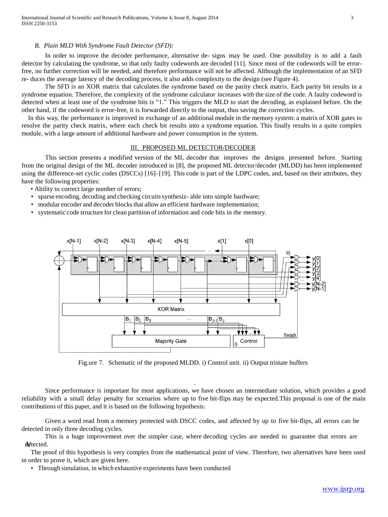#### *B. Plain MLD With Syndrome Fault Detector (SFD):*

In order to improve the decoder performance, alternative de- signs may be used. One possibility is to add a fault detector by calculating the syndrome, so that only faulty codewords are decoded [11]. Since most of the codewords will be errorfree, no further correction will be needed, and therefore performance will not be affected. Although the implementation of an SFD re- duces the average latency of the decoding process, it also adds complexity to the design (see Figure 4).

The SFD is an XOR matrix that calculates the syndrome based on the parity check matrix. Each parity bit results in a syndrome equation. Therefore, the complexity of the syndrome calculator increases with the size of the code. A faulty codeword is detected when at least one of the syndrome bits is "1." This triggers the MLD to start the decoding, as explained before. On the other hand, if the codeword is error-free, it is forwarded directly to the output, thus saving the correction cycles.

In this way, the performance is improved in exchange of an additional module in the memory system: a matrix of XOR gates to resolve the parity check matrix, where each check bit results into a syndrome equation. This finally results in a quite complex module, with a large amount of additional hardware and power consumption in the system.

#### III. PROPOSED ML DETECTOR/DECODER

This section presents a modified version of the ML decoder that improves the designs presented before. Starting from the original design of the ML decoder introduced in [8], the proposed ML detector/decoder (MLDD) has been implemented using the difference-set cyclic codes (DSCCs) [16]–[19]. This code is part of the LDPC codes, and, based on their attributes, they have the following properties:

- Ability to correct large number of errors;
- sparse encoding, decoding and checking circuits synthesiz- able into simple hardware;
- modular encoder and decoder blocks that allow an efficient hardware implementation;
- systematic code structure for clean partition of information and code bits in the memory.



Fig.ure 7. Schematic of the proposed MLDD. i) Control unit. ii) Output tristate buffers

Since performance is important for most applications, we have chosen an intermediate solution, which provides a good reliability with a small delay penalty for scenarios where up to five bit-flips may be expected.This proposal is one of the main contributions of this paper, and it is based on the following hypothesis:

.

Given a word read from a memory protected with DSCC codes, and affected by up to five bit-flips, all errors can be detected in only three decoding cycles.

This is a huge improvement over the simpler case, where decoding cycles are needed to guarantee that errors are detected.

The proof of this hypothesis is very complex from the mathematical point of view. Therefore, two alternatives have been used in order to prove it, which are given here.

• Through simulation, in which exhaustive experiments have been conducted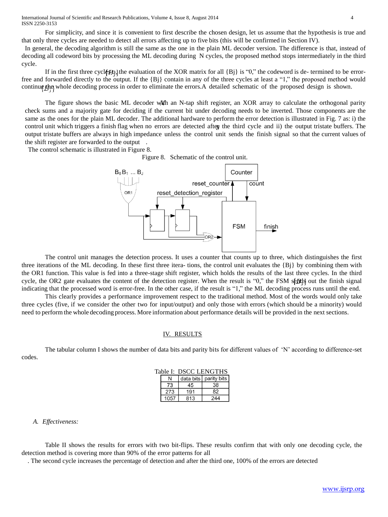International Journal of Scientific and Research Publications, Volume 4, Issue 8, August 2014 4 ISSN 2250-3153

For simplicity, and since it is convenient to first describe the chosen design, let us assume that the hypothesis is true and that only three cycles are needed to detect all errors affecting up to five bits (this will be confirmed in Section IV).

In general, the decoding algorithm is still the same as the one in the plain ML decoder version. The difference is that, instead of decoding all codeword bits by processing the ML decoding during N cycles, the proposed method stops intermediately in the third cycle.

If in the first three cycle  $BQ$ , the evaluation of the XOR matrix for all  ${Bj}$  is "0," the codeword is de- termined to be errorfree and forwarded directly to the output. If the {Bj} contain in any of the three cycles at least a "1," the proposed method would continue the whole decoding process in order to eliminate the errors. A detailed schematic of the proposed design is shown.

The figure shows the basic ML decoder with an N-tap shift register, an XOR array to calculate the orthogonal parity check sums and a majority gate for deciding if the current bit under decoding needs to be inverted. Those components are the same as the ones for the plain ML decoder. The additional hardware to perform the error detection is illustrated in Fig. 7 as: i) the control unit which triggers a finish flag when no errors are detected after the third cycle and ii) the output tristate buffers. The output tristate buffers are always in high impedance unless the control unit sends the finish signal so that the current values of the shift register are forwarded to the output .

The control schematic is illustrated in Figure 8.

Figure 8. Schematic of the control unit.



The control unit manages the detection process. It uses a counter that counts up to three, which distinguishes the first three iterations of the ML decoding. In these first three itera- tions, the control unit evaluates the  ${B_i}$  by combining them with the OR1 function. This value is fed into a three-stage shift register, which holds the results of the last three cycles. In the third cycle, the OR2 gate evaluates the content of the detection register. When the result is "0," the FSM sends out the finish signal indicating that the processed word is error-free. In the other case, if the result is "1," the ML decoding process runs until the end.

This clearly provides a performance improvement respect to the traditional method. Most of the words would only take three cycles (five, if we consider the other two for input/output) and only those with errors (which should be a minority) would need to performthe whole decoding process. More information about performance details will be provided in the next sections.

#### IV. RESULTS

The tabular column I shows the number of data bits and parity bits for different values of 'N' according to difference-set codes.

| Table I: DSCC LENGTHS |      |     |                         |  |  |  |  |  |
|-----------------------|------|-----|-------------------------|--|--|--|--|--|
|                       |      |     | data bits   parity bits |  |  |  |  |  |
|                       | 73   | 45  | 38                      |  |  |  |  |  |
|                       | 273  | 191 | 82                      |  |  |  |  |  |
|                       | 1057 | 813 | 244                     |  |  |  |  |  |

#### *A. Effectiveness:*

Table II shows the results for errors with two bit-flips. These results confirm that with only one decoding cycle, the detection method is covering more than 90% of the error patterns for all

. The second cycle increases the percentage of detection and after the third one, 100% of the errors are detected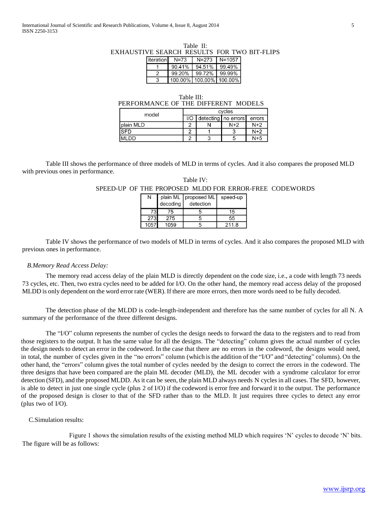## Table II: EXHAUSTIVE SEARCH RESULTS FOR TWO BIT-FLIPS

| literation N=73 |        |                         | N=273   N=1057  |
|-----------------|--------|-------------------------|-----------------|
|                 | 90.41% |                         | 94.51%   99.49% |
| ン               | 99.20% | 99.72%   99.99%         |                 |
| З               |        | 100.00% 100.00% 100.00% |                 |

| Table III:                          |  |
|-------------------------------------|--|
| PERFORMANCE OF THE DIFFERENT MODELS |  |

| model       | cycles |  |                       |        |  |
|-------------|--------|--|-----------------------|--------|--|
|             | 1/O    |  | detecting   no errors | errors |  |
| plain MLD   |        |  | $N+2$                 | $N+2$  |  |
| ISFD        |        |  |                       | $N+2$  |  |
| <b>MLDD</b> |        |  |                       | $N+5$  |  |

Table III shows the performance of three models of MLD in terms of cycles. And it also compares the proposed MLD with previous ones in performance.

|      |          |                                   |       | SPEED-UP OF THE PROPOSED MLDD FOR ERROR-FREE CODEWORDS |
|------|----------|-----------------------------------|-------|--------------------------------------------------------|
|      |          | plain ML   proposed ML   speed-up |       |                                                        |
|      | decoding | detection                         |       |                                                        |
| 731  | 75       |                                   | 15    |                                                        |
|      | 275      |                                   | 55    |                                                        |
| 1057 | 1059     |                                   | 211.8 |                                                        |

Table IV:

Table IV shows the performance of two models of MLD in terms of cycles. And it also compares the proposed MLD with previous ones in performance.

# *B.Memory Read Access Delay:*

The memory read access delay of the plain MLD is directly dependent on the code size, i.e., a code with length 73 needs 73 cycles, etc. Then, two extra cycles need to be added for I/O. On the other hand, the memory read access delay of the proposed MLDD is only dependent on the word error rate (WER). If there are more errors, then more words need to be fully decoded.

The detection phase of the MLDD is code-length-independent and therefore has the same number of cycles for all N. A summary of the performance of the three different designs.

The "I/O" column represents the number of cycles the design needs to forward the data to the registers and to read from those registers to the output. It has the same value for all the designs. The "detecting" column gives the actual number of cycles the design needs to detect an error in the codeword. In the case that there are no errors in the codeword, the designs would need, in total, the number of cycles given in the "no errors" column (which isthe addition of the "I/O" and "detecting" columns). On the other hand, the "errors" column gives the total number of cycles needed by the design to correct the errors in the codeword. The three designs that have been compared are the plain ML decoder (MLD), the ML decoder with a syndrome calculator for error detection (SFD), and the proposed MLDD. As it can be seen, the plain MLD always needs N cyclesin all cases. The SFD, however, is able to detect in just one single cycle (plus 2 of I/O) if the codeword is error free and forward it to the output. The performance of the proposed design is closer to that of the SFD rather than to the MLD. It just requires three cycles to detect any error (plus two of I/O).

# C.Simulation results:

Figure 1 shows the simulation results of the existing method MLD which requires 'N' cycles to decode 'N' bits. The figure will be as follows: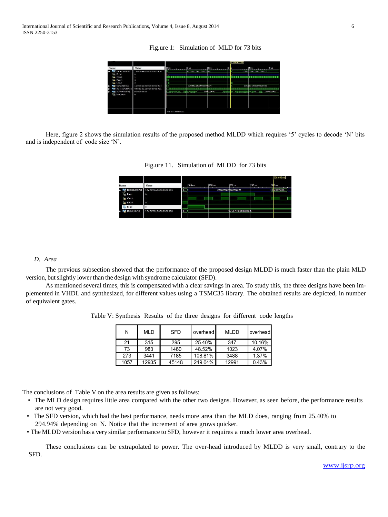Fig.ure 1: Simulation of MLD for 73 bits

| Name                                                                                                                                             | Value                                                                                                                                     | <b>Professional Profession</b> | $\left  \frac{1}{2} \right $                         | 2us       | 3.140000 us     | $14us$ .                                                                   | $5 \text{ us}$ |
|--------------------------------------------------------------------------------------------------------------------------------------------------|-------------------------------------------------------------------------------------------------------------------------------------------|--------------------------------|------------------------------------------------------|-----------|-----------------|----------------------------------------------------------------------------|----------------|
| DataOut(0:72)<br>Le Error<br><b>Clock</b><br>F<br>Reset<br><b>B</b> Load<br>DataIn(0:72)<br>ŝ<br>XOROUT[0:8]<br><b>Barba</b><br><b>IL MAJOUT</b> | 12088aa800000000004<br>$\circ$<br>$\circ$<br>$\circ$<br>12088aa800000000004<br>XDataOut(0:72) 048222aa00000000001<br>000000100<br>$\circ$ | ※※※〈※〈※〈一〉形                    | ,,,,,,,,,,,,,,,,,,,<br>12088aa8000000000004<br>₩ 地帯線 | 000000000 | <b>RESERVED</b> | ,,,,,,,,,,,,,,,,,,,,,<br>036ab01c00000000030<br>03030303030303<br>1808 O.L | ooobooooo      |
|                                                                                                                                                  |                                                                                                                                           | X1: 3.140000 us                |                                                      |           |                 |                                                                            |                |

Here, figure 2 shows the simulation results of the proposed method MLDD which requires '5' cycles to decode 'N' bits and is independent of code size 'N'.

Fig.ure 11. Simulation of MLDD for 73 bits

|              |                                   |         |         |                      |         | <b>DUO</b> 040 US       |
|--------------|-----------------------------------|---------|---------|----------------------|---------|-------------------------|
| Name         | Value                             | 1100 ns | 1150 ns | 1200 ns              | 1250 ns | 300 ns                  |
|              | DataOut(0:72) 16e767fe00000000005 | 0       |         | 22222222222222222222 |         | 1 <sub>5</sub> e767fe00 |
| Le Error     | $\overline{\phantom{0}}$          |         |         |                      |         |                         |
| <b>Clock</b> |                                   |         |         |                      |         |                         |
| ъ<br>Reset   | $\Omega$                          |         |         |                      |         |                         |
| Load         |                                   |         |         |                      |         |                         |
| DataIn[0:72] | 16e767fe00000000005               | 0.1     |         | 16e767fe00000000005  |         |                         |
|              |                                   |         |         |                      |         |                         |

# *D. Area*

The previous subsection showed that the performance of the proposed design MLDD is much faster than the plain MLD version, but slightly lower than the design with syndrome calculator (SFD).

As mentioned several times, this is compensated with a clear savings in area. To study this, the three designs have been implemented in VHDL and synthesized, for different values using a TSMC35 library. The obtained results are depicted, in number of equivalent gates.

Table V: Synthesis Results of the three designs for different code lengths

| Ν    | <b>MLD</b> | <b>SFD</b> | overhead | <b>MLDD</b> | l overheadl |
|------|------------|------------|----------|-------------|-------------|
| 21   | 315        | 395        | 25.40%   | 347         | 10.16%      |
| 73   | 983        | 1460       | 48.52%   | 1023        | 4.07%       |
| 273  | 3441       | 7185       | 108.81%  | 3488        | 1.37%       |
| 1057 | 12935      | 45148      | 249.04%  | 12991       | 0.43%       |

The conclusions of Table V on the area results are given as follows:

- The MLD design requires little area compared with the other two designs. However, as seen before, the performance results are not very good.
- The SFD version, which had the best performance, needs more area than the MLD does, ranging from 25.40% to 294.94% depending on N. Notice that the increment of area grows quicker.
- The MLDD version has a very similar performance to SFD, however it requires a much lower area overhead.

These conclusions can be extrapolated to power. The over-head introduced by MLDD is very small, contrary to the SFD.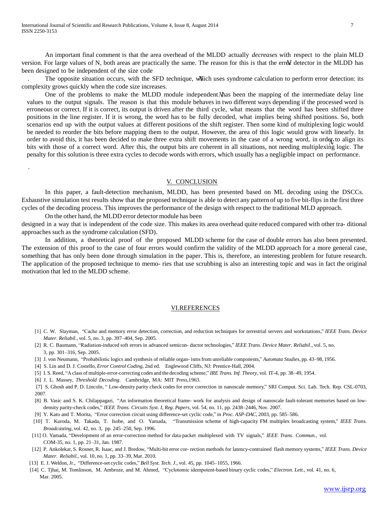An important final comment is that the area overhead of the MLDD actually *decreases* with respect to the plain MLD version. For large values of N, both areas are practically the same. The reason for this is that the error detector in the MLDD has been designed to be independent of the size code

. The opposite situation occurs, with the SFD technique, which uses syndrome calculation to perform error detection: its complexity grows quickly when the code size increases.

One of the problems to make the MLDD module independent Mas been the mapping of the intermediate delay line values to the output signals. The reason is that this module behaves in two different ways depending if the processed word is erroneous or correct. If it is correct, its output is driven after the third cycle, what means that the word has been shifted three positions in the line register. If it is wrong, the word has to be fully decoded, what implies being shifted positions. So, both scenarios end up with the output values at different positions of the shift register. Then some kind of multiplexing logic would be needed to reorder the bits before mapping them to the output. However, the area of this logic would grow with linearly. In order to avoid this, it has been decided to make three extra shift movements in the case of a wrong word, in order to align its bits with those of a correct word. After this, the output bits are coherent in all situations, not needing multiplexing logic. The penalty for this solution is three extra cycles to decode words with errors, which usually has a negligible impact on performance.

#### V. CONCLUSION

In this paper, a fault-detection mechanism, MLDD, has been presented based on ML decoding using the DSCCs. Exhaustive simulation test results show that the proposed technique is able to detect any pattern of up to five bit-flips in the first three cycles of the decoding process. This improves the performance of the design with respect to the traditional MLD approach.

On the other hand, the MLDD error detector module has been

.

designed in a way that is independent of the code size. This makes its area overhead quite reduced compared with other tra- ditional approaches such as the syndrome calculation (SFD).

In addition, a theoretical proof of the proposed MLDD scheme for the case of double errors has also been presented. The extension of this proof to the case of four errors would confirm the validity of the MLDD approach for a more general case, something that has only been done through simulation in the paper. This is, therefore, an interesting problem for future research. The application of the proposed technique to memo- ries that use scrubbing is also an interesting topic and was in fact the original motivation that led to the MLDD scheme.

#### VI.REFERENCES

- [1] C. W. Slayman, "Cache and memory error detection, correction, and reduction techniques for terrestrial servers and workstations," *IEEE Trans. Device Mater. Reliabil.*, vol. 5, no. 3, pp. 397–404, Sep. 2005.
- [2] R. C. Baumann, "Radiation-induced soft errors in advanced semicon- ductor technologies," *IEEE Trans. Device Mater. Reliabil.*, vol. 5, no. 3, pp. 301–316, Sep. 2005.
- [3] J. von Neumann, "Probabilistic logics and synthesis of reliable organ- ismsfrom unreliable components," *Automata Studies*, pp. 43–98, 1956.
- [4] S. Lin and D. J. Costello*, Error Control Coding*, 2nd ed. Englewood Cliffs, NJ: Prentice-Hall, 2004.
- [5] I. S. Reed, "Aclass of multiple-error-correcting codes and the decoding scheme," *IRE Trans. Inf. Theory*, vol. IT-4, pp. 38–49, 1954.
- [6] J. L. Massey*, Threshold Decoding*. Cambridge, MA: MIT Press,1963.

[7] S. Ghosh and P. D. Lincoln, " Low-density parity check codes for error correction in nanoscale memory," SRI Comput. Sci. Lab. Tech. Rep. CSL-0703, 2007.

- [8] B. Vasic and S. K. Chilappagari, "An information theoretical frame- work for analysis and design of nanoscale fault-tolerant memories based on lowdensity parity-check codes," *IEEE Trans. Circuits Syst. I, Reg. Papers*, vol. 54, no. 11, pp. 2438–2446, Nov. 2007.
- [9] Y. Kato and T. Morita, "Error correction circuit using difference-set cyclic code," in *Proc. ASP-DAC*, 2003, pp. 585–586.
- [10] T. Kuroda, M. Takada, T. Isobe, and O. Yamada, "Transmission scheme of high-capacity FM multiplex broadcasting system," *IEEE Trans. Broadcasting*, vol. 42, no. 3, pp. 245–250, Sep. 1996.
- [11] O. Yamada, "Development of an error-correction method for data packet multiplexed with TV signals," *IEEE Trans. Commun.*, vol. COM-35, no. 1, pp. 21–31, Jan. 1987.
- [12] P. Ankolekar, S. Rosner, R. Isaac, and J. Bredow, "Multi-bit error cor- rection methods for latency-contrained flash memory systems," *IEEE Trans. Device Mater. Reliabil.*, vol. 10, no. 1, pp. 33–39, Mar. 2010.
- [13] E. J. Weldon, Jr., "Difference-set cyclic codes," *Bell Syst. Tech. J.*, vol. 45, pp. 1045–1055, 1966.
- [14] C. Tjhai, M. Tomlinson, M. Ambroze, and M. Ahmed, "Cyclotomic idempotent-based binary cyclic codes," *Electron. Lett.*, vol. 41, no. 6, Mar. 2005.